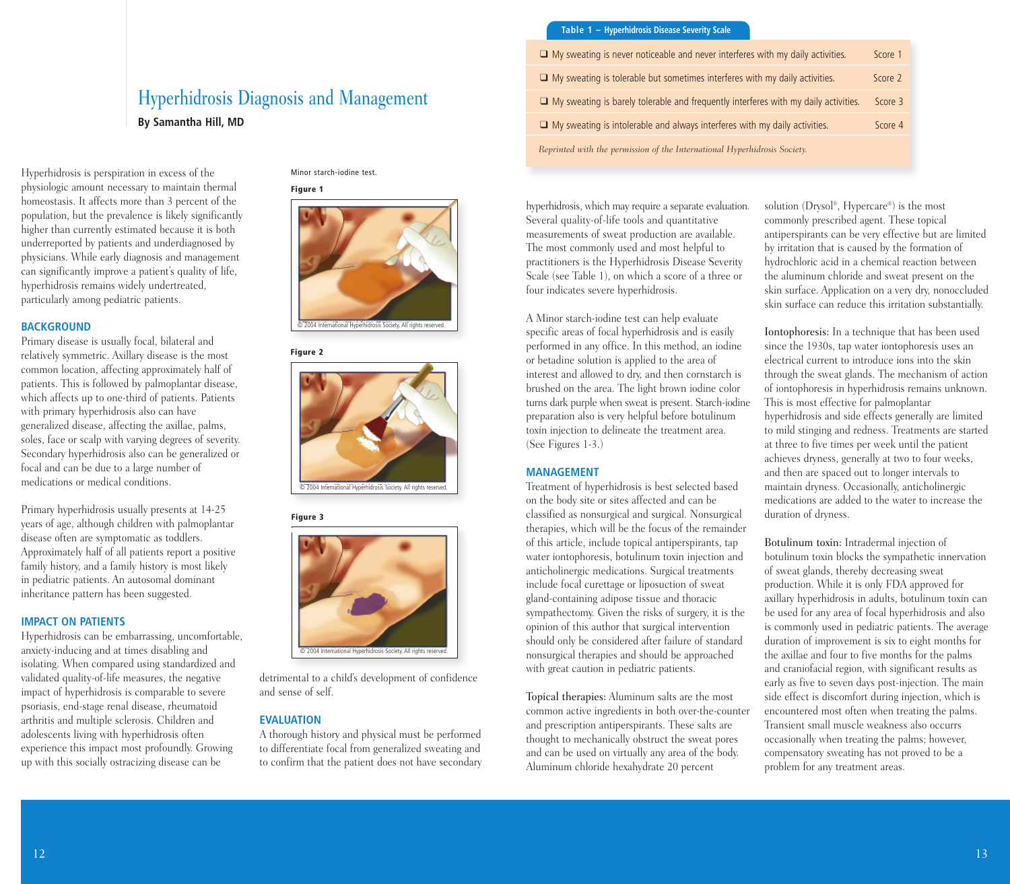# Hyperhidrosis Diagnosis and Management **By Samantha Hill, MD**

Hyperhidrosis is perspiration in excess of the physiologic amount necessary to maintain thermal homeostasis. It affects more than 3 percent of the population, but the prevalence is likely significantly higher than currently estimated because it is both underreported by patients and underdiagnosed by physicians. While early diagnosis and management can significantly improve a patient's quality of life, hyperhidrosis remains widely undertreated, particularly among pediatric patients.

#### **BACKGROUND**

Primary disease is usually focal, bilateral and relatively symmetric. Axillary disease is the most common location, affecting approximately half of patients. This is followed by palmoplantar disease, which affects up to one-third of patients. Patients with primary hyperhidrosis also can have generalized disease, affecting the axillae, palms, soles, face or scalp with varying degrees of severity. Secondary hyperhidrosis also can be generalized or focal and can be due to a large number of medications or medical conditions.

Primary hyperhidrosis usually presents at 14-25 years of age, although children with palmoplantar disease often are symptomatic as toddlers. Approximately half of all patients report a positive family history, and a family history is most likely in pediatric patients. An autosomal dominant inheritance pattern has been suggested.

#### **IMPACT ON PATIENTS**

Hyperhidrosis can be embarrassing, uncomfortable, anxiety-inducing and at times disabling and isolating. When compared using standardized and validated quality-of-life measures, the negative impact of hyperhidrosis is comparable to severe psoriasis, end-stage renal disease, rheumatoid arthritis and multiple sclerosis. Children and adolescents living with hyperhidrosis often experience this impact most profoundly. Growing up with this socially ostracizing disease can be

Minor starch-iodine test.

#### **Figure 1**



#### **Figure 2**



## **Figure 3**



detrimental to a child's development of confidence and sense of self.

### **EVALUATION**

A thorough history and physical must be performed to differentiate focal from generalized sweating and to confirm that the patient does not have secondary

# **Table 1 – Hyperhidrosis Disease Severity Scale**

| $\Box$ My sweating is never noticeable and never interferes with my daily activities.      | Score 1 |
|--------------------------------------------------------------------------------------------|---------|
| $\Box$ My sweating is tolerable but sometimes interferes with my daily activities.         | Score 2 |
| $\Box$ My sweating is barely tolerable and frequently interferes with my daily activities. | Score 3 |
| $\Box$ My sweating is intolerable and always interferes with my daily activities.          | Score 4 |
| Reprinted with the permission of the International Hyperhidrosis Society.                  |         |

hyperhidrosis, which may require a separate evaluation. Several quality-of-life tools and quantitative measurements of sweat production are available. The most commonly used and most helpful to practitioners is the Hyperhidrosis Disease Severity Scale (see Table 1), on which a score of a three or four indicates severe hyperhidrosis.

A Minor starch-iodine test can help evaluate specific areas of focal hyperhidrosis and is easily performed in any office. In this method, an iodine or betadine solution is applied to the area of interest and allowed to dry, and then cornstarch is brushed on the area. The light brown iodine color turns dark purple when sweat is present. Starch-iodine preparation also is very helpful before botulinum toxin injection to delineate the treatment area. (See Figures 1-3.)

#### **MANAGEMENT**

Treatment of hyperhidrosis is best selected based on the body site or sites affected and can be classified as nonsurgical and surgical. Nonsurgical therapies, which will be the focus of the remainder of this article, include topical antiperspirants, tap water iontophoresis, botulinum toxin injection and anticholinergic medications. Surgical treatments include focal curettage or liposuction of sweat gland-containing adipose tissue and thoracic sympathectomy. Given the risks of surgery, it is the opinion of this author that surgical intervention should only be considered after failure of standard nonsurgical therapies and should be approached with great caution in pediatric patients.

Topical therapies: Aluminum salts are the most common active ingredients in both over-the-counter and prescription antiperspirants. These salts are thought to mechanically obstruct the sweat pores and can be used on virtually any area of the body. Aluminum chloride hexahydrate 20 percent

solution (Drysol ®, Hypercare®) is the most commonly prescribed agent. These topical antiperspirants can be very effective but are limited by irritation that is caused by the formation of hydrochloric acid in a chemical reaction between the aluminum chloride and sweat present on the skin surface. Application on a very dry, nonoccluded skin surface can reduce this irritation substantially.

Iontophoresis: In a technique that has been used since the 1930s, tap water iontophoresis uses an electrical current to introduce ions into the skin through the sweat glands. The mechanism of action of iontophoresis in hyperhidrosis remains unknown. This is most effective for palmoplantar hyperhidrosis and side effects generally are limited to mild stinging and redness. Treatments are started at three to five times per week until the patient achieves dryness, generally at two to four weeks, and then are spaced out to longer intervals to maintain dryness. Occasionally, anticholinergic medications are added to the water to increase the duration of dryness.

Botulinum toxin: Intradermal injection of botulinum toxin blocks the sympathetic innervation of sweat glands, thereby decreasing sweat production. While it is only FDA approved for axillary hyperhidrosis in adults, botulinum toxin can be used for any area of focal hyperhidrosis and also is commonly used in pediatric patients. The average duration of improvement is six to eight months for the axillae and four to five months for the palms and craniofacial region, with significant results as early as five to seven days post-injection. The main side effect is discomfort during injection, which is encountered most often when treating the palms. Transient small muscle weakness also occurrs occasionally when treating the palms; however, compensatory sweating has not proved to be a problem for any treatment areas.